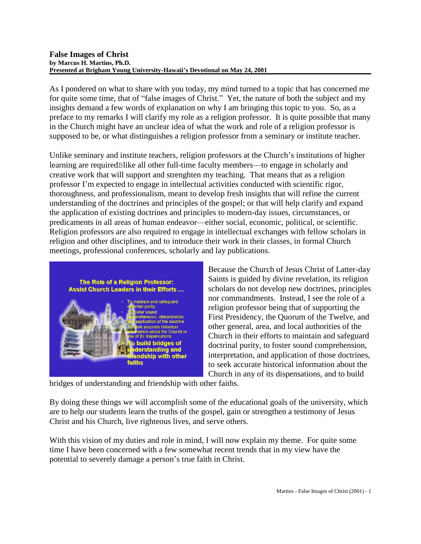#### **False Images of Christ by Marcus H. Martins, Ph.D. Presented at Brigham Young University-Hawaii's Devotional on May 24, 2001**

As I pondered on what to share with you today, my mind turned to a topic that has concerned me for quite some time, that of "false images of Christ." Yet, the nature of both the subject and my insights demand a few words of explanation on why I am bringing this topic to you. So, as a preface to my remarks I will clarify my role as a religion professor. It is quite possible that many in the Church might have an unclear idea of what the work and role of a religion professor is supposed to be, or what distinguishes a religion professor from a seminary or institute teacher.

Unlike seminary and institute teachers, religion professors at the Church's institutions of higher learning are requiredBlike all other full-time faculty members—to engage in scholarly and creative work that will support and strenghten my teaching. That means that as a religion professor I'm expected to engage in intellectual activities conducted with scientific rigor, thoroughness, and professionalism, meant to develop fresh insights that will refine the current understanding of the doctrines and principles of the gospel; or that will help clarify and expand the application of existing doctrines and principles to modern-day issues, circumstances, or predicaments in all areas of human endeavor—either social, economic, political, or scientific. Religion professors are also required to engage in intellectual exchanges with fellow scholars in religion and other disciplines, and to introduce their work in their classes, in formal Church meetings, professional conferences, scholarly and lay publications.



Because the Church of Jesus Christ of Latter-day Saints is guided by divine revelation, its religion scholars do not develop new doctrines, principles nor commandments. Instead, I see the role of a religion professor being that of supporting the First Presidency, the Quorum of the Twelve, and other general, area, and local authorities of the Church in their efforts to maintain and safeguard doctrinal purity, to foster sound comprehension, interpretation, and application of those doctrines, to seek accurate historical information about the Church in any of its dispensations, and to build

bridges of understanding and friendship with other faiths.

By doing these things we will accomplish some of the educational goals of the university, which are to help our students learn the truths of the gospel, gain or strengthen a testimony of Jesus Christ and his Church, live righteous lives, and serve others.

With this vision of my duties and role in mind, I will now explain my theme. For quite some time I have been concerned with a few somewhat recent trends that in my view have the potential to severely damage a person's true faith in Christ.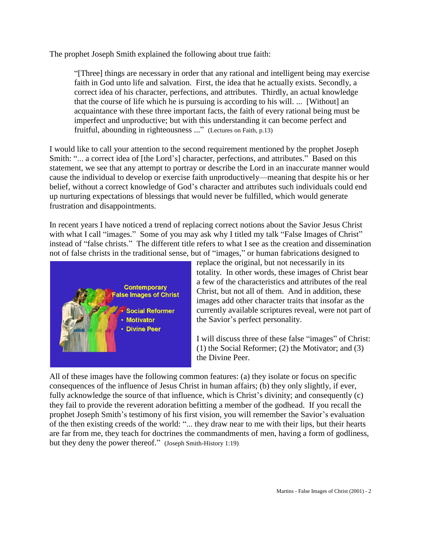The prophet Joseph Smith explained the following about true faith:

"[Three] things are necessary in order that any rational and intelligent being may exercise faith in God unto life and salvation. First, the idea that he actually exists. Secondly, a correct idea of his character, perfections, and attributes. Thirdly, an actual knowledge that the course of life which he is pursuing is according to his will. ... [Without] an acquaintance with these three important facts, the faith of every rational being must be imperfect and unproductive; but with this understanding it can become perfect and fruitful, abounding in righteousness ..." (Lectures on Faith, p.13)

I would like to call your attention to the second requirement mentioned by the prophet Joseph Smith: "... a correct idea of [the Lord's] character, perfections, and attributes." Based on this statement, we see that any attempt to portray or describe the Lord in an inaccurate manner would cause the individual to develop or exercise faith unproductively—meaning that despite his or her belief, without a correct knowledge of God's character and attributes such individuals could end up nurturing expectations of blessings that would never be fulfilled, which would generate frustration and disappointments.

In recent years I have noticed a trend of replacing correct notions about the Savior Jesus Christ with what I call "images." Some of you may ask why I titled my talk "False Images of Christ" instead of "false christs." The different title refers to what I see as the creation and dissemination not of false christs in the traditional sense, but of "images," or human fabrications designed to



replace the original, but not necessarily in its totality. In other words, these images of Christ bear a few of the characteristics and attributes of the real Christ, but not all of them. And in addition, these images add other character traits that insofar as the currently available scriptures reveal, were not part of the Savior's perfect personality.

I will discuss three of these false "images" of Christ: (1) the Social Reformer; (2) the Motivator; and (3) the Divine Peer.

All of these images have the following common features: (a) they isolate or focus on specific consequences of the influence of Jesus Christ in human affairs; (b) they only slightly, if ever, fully acknowledge the source of that influence, which is Christ's divinity; and consequently (c) they fail to provide the reverent adoration befitting a member of the godhead. If you recall the prophet Joseph Smith's testimony of his first vision, you will remember the Savior's evaluation of the then existing creeds of the world: "... they draw near to me with their lips, but their hearts are far from me, they teach for doctrines the commandments of men, having a form of godliness, but they deny the power thereof." (Joseph Smith-History 1:19)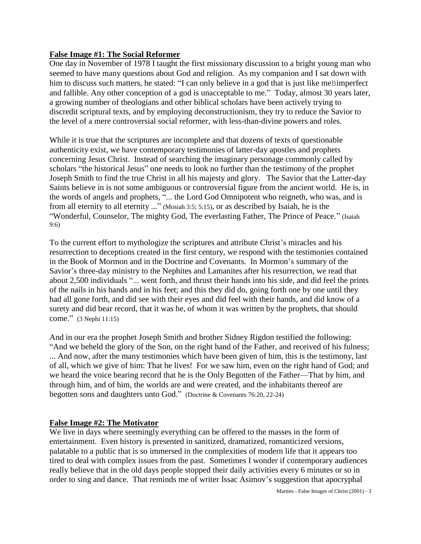## **False Image #1: The Social Reformer**

One day in November of 1978 I taught the first missionary discussion to a bright young man who seemed to have many questions about God and religion. As my companion and I sat down with him to discuss such matters, he stated: "I can only believe in a god that is just like meBimperfect and fallible. Any other conception of a god is unacceptable to me." Today, almost 30 years later, a growing number of theologians and other biblical scholars have been actively trying to discredit scriptural texts, and by employing deconstructionism, they try to reduce the Savior to the level of a mere controversial social reformer, with less-than-divine powers and roles.

While it is true that the scriptures are incomplete and that dozens of texts of questionable authenticity exist, we have contemporary testimonies of latter-day apostles and prophets concerning Jesus Christ. Instead of searching the imaginary personage commonly called by scholars "the historical Jesus" one needs to look no further than the testimony of the prophet Joseph Smith to find the true Christ in all his majesty and glory. The Savior that the Latter-day Saints believe in is not some ambiguous or controversial figure from the ancient world. He is, in the words of angels and prophets, "... the Lord God Omnipotent who reigneth, who was, and is from all eternity to all eternity ..." (Mosiah 3:5; 5:15), or as described by Isaiah, he is the "Wonderful, Counselor, The mighty God, The everlasting Father, The Prince of Peace." (Isaiah 9:6)

To the current effort to mythologize the scriptures and attribute Christ's miracles and his resurrection to deceptions created in the first century, we respond with the testimonies contained in the Book of Mormon and in the Doctrine and Covenants. In Mormon's summary of the Savior's three-day ministry to the Nephites and Lamanites after his resurrection, we read that about 2,500 individuals "... went forth, and thrust their hands into his side, and did feel the prints of the nails in his hands and in his feet; and this they did do, going forth one by one until they had all gone forth, and did see with their eyes and did feel with their hands, and did know of a surety and did bear record, that it was he, of whom it was written by the prophets, that should come." (3 Nephi 11:15)

And in our era the prophet Joseph Smith and brother Sidney Rigdon testified the following: "And we beheld the glory of the Son, on the right hand of the Father, and received of his fulness; ... And now, after the many testimonies which have been given of him, this is the testimony, last of all, which we give of him: That he lives! For we saw him, even on the right hand of God; and we heard the voice bearing record that he is the Only Begotten of the Father—That by him, and through him, and of him, the worlds are and were created, and the inhabitants thereof are begotten sons and daughters unto God." (Doctrine & Covenants 76:20, 22-24)

# **False Image #2: The Motivator**

We live in days where seemingly everything can be offered to the masses in the form of entertainment. Even history is presented in sanitized, dramatized, romanticized versions, palatable to a public that is so immersed in the complexities of modern life that it appears too tired to deal with complex issues from the past. Sometimes I wonder if contemporary audiences really believe that in the old days people stopped their daily activities every 6 minutes or so in order to sing and dance. That reminds me of writer Issac Asimov's suggestion that apocryphal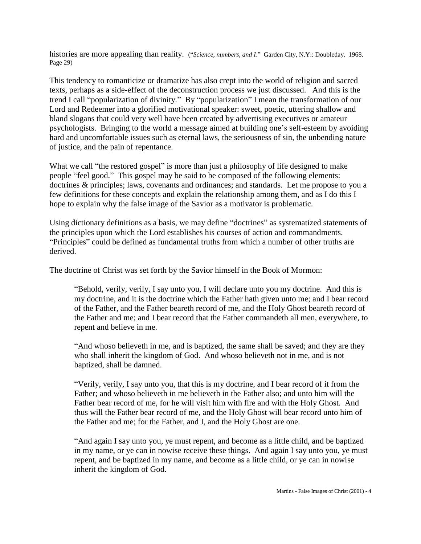histories are more appealing than reality. ("*Science, numbers, and I*." Garden City, N.Y.: Doubleday. 1968. Page 29)

This tendency to romanticize or dramatize has also crept into the world of religion and sacred texts, perhaps as a side-effect of the deconstruction process we just discussed. And this is the trend I call "popularization of divinity." By "popularization" I mean the transformation of our Lord and Redeemer into a glorified motivational speaker: sweet, poetic, uttering shallow and bland slogans that could very well have been created by advertising executives or amateur psychologists. Bringing to the world a message aimed at building one's self-esteem by avoiding hard and uncomfortable issues such as eternal laws, the seriousness of sin, the unbending nature of justice, and the pain of repentance.

What we call "the restored gospel" is more than just a philosophy of life designed to make people "feel good." This gospel may be said to be composed of the following elements: doctrines & principles; laws, covenants and ordinances; and standards. Let me propose to you a few definitions for these concepts and explain the relationship among them, and as I do this I hope to explain why the false image of the Savior as a motivator is problematic.

Using dictionary definitions as a basis, we may define "doctrines" as systematized statements of the principles upon which the Lord establishes his courses of action and commandments. "Principles" could be defined as fundamental truths from which a number of other truths are derived.

The doctrine of Christ was set forth by the Savior himself in the Book of Mormon:

"Behold, verily, verily, I say unto you, I will declare unto you my doctrine. And this is my doctrine, and it is the doctrine which the Father hath given unto me; and I bear record of the Father, and the Father beareth record of me, and the Holy Ghost beareth record of the Father and me; and I bear record that the Father commandeth all men, everywhere, to repent and believe in me.

"And whoso believeth in me, and is baptized, the same shall be saved; and they are they who shall inherit the kingdom of God. And whoso believeth not in me, and is not baptized, shall be damned.

"Verily, verily, I say unto you, that this is my doctrine, and I bear record of it from the Father; and whoso believeth in me believeth in the Father also; and unto him will the Father bear record of me, for he will visit him with fire and with the Holy Ghost. And thus will the Father bear record of me, and the Holy Ghost will bear record unto him of the Father and me; for the Father, and I, and the Holy Ghost are one.

"And again I say unto you, ye must repent, and become as a little child, and be baptized in my name, or ye can in nowise receive these things. And again I say unto you, ye must repent, and be baptized in my name, and become as a little child, or ye can in nowise inherit the kingdom of God.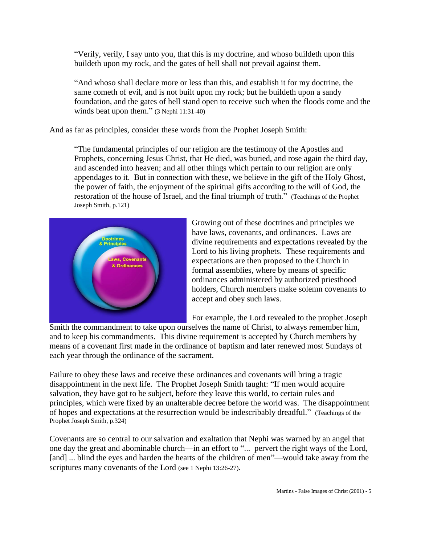"Verily, verily, I say unto you, that this is my doctrine, and whoso buildeth upon this buildeth upon my rock, and the gates of hell shall not prevail against them.

"And whoso shall declare more or less than this, and establish it for my doctrine, the same cometh of evil, and is not built upon my rock; but he buildeth upon a sandy foundation, and the gates of hell stand open to receive such when the floods come and the winds beat upon them." (3 Nephi 11:31-40)

And as far as principles, consider these words from the Prophet Joseph Smith:

"The fundamental principles of our religion are the testimony of the Apostles and Prophets, concerning Jesus Christ, that He died, was buried, and rose again the third day, and ascended into heaven; and all other things which pertain to our religion are only appendages to it. But in connection with these, we believe in the gift of the Holy Ghost, the power of faith, the enjoyment of the spiritual gifts according to the will of God, the restoration of the house of Israel, and the final triumph of truth." (Teachings of the Prophet Joseph Smith, p.121)



Growing out of these doctrines and principles we have laws, covenants, and ordinances. Laws are divine requirements and expectations revealed by the Lord to his living prophets. These requirements and expectations are then proposed to the Church in formal assemblies, where by means of specific ordinances administered by authorized priesthood holders, Church members make solemn covenants to accept and obey such laws.

For example, the Lord revealed to the prophet Joseph

Smith the commandment to take upon ourselves the name of Christ, to always remember him, and to keep his commandments. This divine requirement is accepted by Church members by means of a covenant first made in the ordinance of baptism and later renewed most Sundays of each year through the ordinance of the sacrament.

Failure to obey these laws and receive these ordinances and covenants will bring a tragic disappointment in the next life. The Prophet Joseph Smith taught: "If men would acquire salvation, they have got to be subject, before they leave this world, to certain rules and principles, which were fixed by an unalterable decree before the world was. The disappointment of hopes and expectations at the resurrection would be indescribably dreadful." (Teachings of the Prophet Joseph Smith, p.324)

Covenants are so central to our salvation and exaltation that Nephi was warned by an angel that one day the great and abominable church—in an effort to "... pervert the right ways of the Lord, [and] ... blind the eyes and harden the hearts of the children of men"—would take away from the scriptures many covenants of the Lord (see 1 Nephi 13:26-27).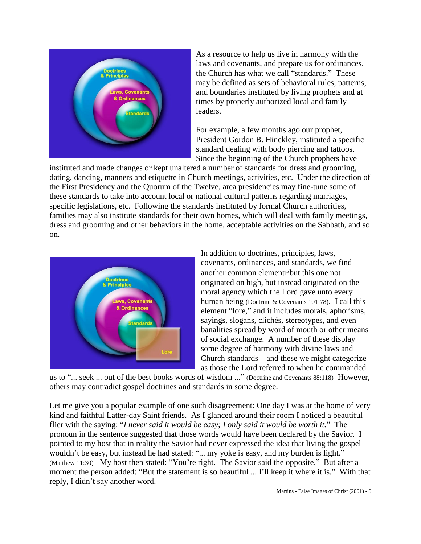

As a resource to help us live in harmony with the laws and covenants, and prepare us for ordinances, the Church has what we call "standards." These may be defined as sets of behavioral rules, patterns, and boundaries instituted by living prophets and at times by properly authorized local and family leaders.

For example, a few months ago our prophet, President Gordon B. Hinckley, instituted a specific standard dealing with body piercing and tattoos. Since the beginning of the Church prophets have

instituted and made changes or kept unaltered a number of standards for dress and grooming, dating, dancing, manners and etiquette in Church meetings, activities, etc. Under the direction of the First Presidency and the Quorum of the Twelve, area presidencies may fine-tune some of these standards to take into account local or national cultural patterns regarding marriages, specific legislations, etc. Following the standards instituted by formal Church authorities, families may also institute standards for their own homes, which will deal with family meetings, dress and grooming and other behaviors in the home, acceptable activities on the Sabbath, and so on.



In addition to doctrines, principles, laws, covenants, ordinances, and standards, we find another common elementBbut this one not originated on high, but instead originated on the moral agency which the Lord gave unto every human being (Doctrine & Covenants 101:78). I call this element "lore," and it includes morals, aphorisms, sayings, slogans, clichés, stereotypes, and even banalities spread by word of mouth or other means of social exchange. A number of these display some degree of harmony with divine laws and Church standards—and these we might categorize as those the Lord referred to when he commanded

us to "... seek ... out of the best books words of wisdom ..." (Doctrine and Covenants 88:118) However, others may contradict gospel doctrines and standards in some degree.

Let me give you a popular example of one such disagreement: One day I was at the home of very kind and faithful Latter-day Saint friends. As I glanced around their room I noticed a beautiful flier with the saying: "*I never said it would be easy; I only said it would be worth it.*" The pronoun in the sentence suggested that those words would have been declared by the Savior. I pointed to my host that in reality the Savior had never expressed the idea that living the gospel wouldn't be easy, but instead he had stated: "... my yoke is easy, and my burden is light." (Matthew 11:30) My host then stated: "You're right. The Savior said the opposite." But after a moment the person added: "But the statement is so beautiful ... I'll keep it where it is." With that reply, I didn't say another word.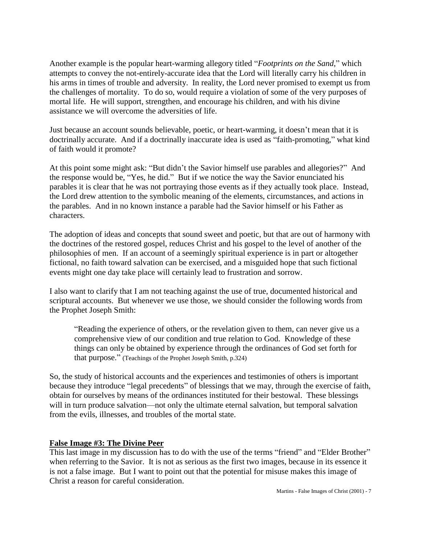Another example is the popular heart-warming allegory titled "*Footprints on the Sand*," which attempts to convey the not-entirely-accurate idea that the Lord will literally carry his children in his arms in times of trouble and adversity. In reality, the Lord never promised to exempt us from the challenges of mortality. To do so, would require a violation of some of the very purposes of mortal life. He will support, strengthen, and encourage his children, and with his divine assistance we will overcome the adversities of life.

Just because an account sounds believable, poetic, or heart-warming, it doesn't mean that it is doctrinally accurate. And if a doctrinally inaccurate idea is used as "faith-promoting," what kind of faith would it promote?

At this point some might ask: "But didn't the Savior himself use parables and allegories?" And the response would be, "Yes, he did." But if we notice the way the Savior enunciated his parables it is clear that he was not portraying those events as if they actually took place. Instead, the Lord drew attention to the symbolic meaning of the elements, circumstances, and actions in the parables. And in no known instance a parable had the Savior himself or his Father as characters.

The adoption of ideas and concepts that sound sweet and poetic, but that are out of harmony with the doctrines of the restored gospel, reduces Christ and his gospel to the level of another of the philosophies of men. If an account of a seemingly spiritual experience is in part or altogether fictional, no faith toward salvation can be exercised, and a misguided hope that such fictional events might one day take place will certainly lead to frustration and sorrow.

I also want to clarify that I am not teaching against the use of true, documented historical and scriptural accounts. But whenever we use those, we should consider the following words from the Prophet Joseph Smith:

"Reading the experience of others, or the revelation given to them, can never give us a comprehensive view of our condition and true relation to God. Knowledge of these things can only be obtained by experience through the ordinances of God set forth for that purpose." (Teachings of the Prophet Joseph Smith, p.324)

So, the study of historical accounts and the experiences and testimonies of others is important because they introduce "legal precedents" of blessings that we may, through the exercise of faith, obtain for ourselves by means of the ordinances instituted for their bestowal. These blessings will in turn produce salvation—not only the ultimate eternal salvation, but temporal salvation from the evils, illnesses, and troubles of the mortal state.

## **False Image #3: The Divine Peer**

This last image in my discussion has to do with the use of the terms "friend" and "Elder Brother" when referring to the Savior. It is not as serious as the first two images, because in its essence it is not a false image. But I want to point out that the potential for misuse makes this image of Christ a reason for careful consideration.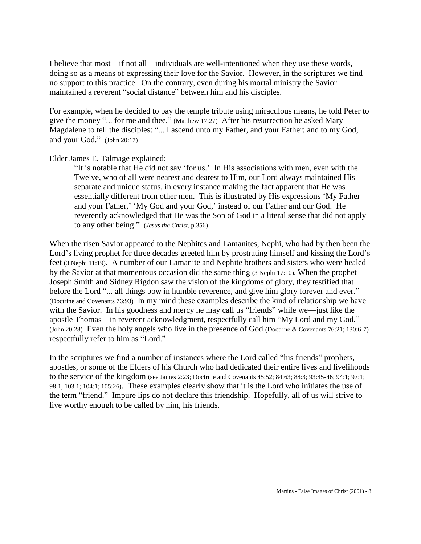I believe that most—if not all—individuals are well-intentioned when they use these words, doing so as a means of expressing their love for the Savior. However, in the scriptures we find no support to this practice. On the contrary, even during his mortal ministry the Savior maintained a reverent "social distance" between him and his disciples.

For example, when he decided to pay the temple tribute using miraculous means, he told Peter to give the money "... for me and thee." (Matthew 17:27) After his resurrection he asked Mary Magdalene to tell the disciples: "... I ascend unto my Father, and your Father; and to my God, and your God." (John 20:17)

Elder James E. Talmage explained:

"It is notable that He did not say 'for us.' In His associations with men, even with the Twelve, who of all were nearest and dearest to Him, our Lord always maintained His separate and unique status, in every instance making the fact apparent that He was essentially different from other men. This is illustrated by His expressions 'My Father and your Father,' 'My God and your God,' instead of our Father and our God. He reverently acknowledged that He was the Son of God in a literal sense that did not apply to any other being." (*Jesus the Christ*, p.356)

When the risen Savior appeared to the Nephites and Lamanites, Nephi, who had by then been the Lord's living prophet for three decades greeted him by prostrating himself and kissing the Lord's feet (3 Nephi 11:19). A number of our Lamanite and Nephite brothers and sisters who were healed by the Savior at that momentous occasion did the same thing (3 Nephi 17:10). When the prophet Joseph Smith and Sidney Rigdon saw the vision of the kingdoms of glory, they testified that before the Lord "... all things bow in humble reverence, and give him glory forever and ever." (Doctrine and Covenants 76:93) In my mind these examples describe the kind of relationship we have with the Savior. In his goodness and mercy he may call us "friends" while we—just like the apostle Thomas—in reverent acknowledgment, respectfully call him "My Lord and my God." (John 20:28) Even the holy angels who live in the presence of God (Doctrine & Covenants 76:21; 130:6-7) respectfully refer to him as "Lord."

In the scriptures we find a number of instances where the Lord called "his friends" prophets, apostles, or some of the Elders of his Church who had dedicated their entire lives and livelihoods to the service of the kingdom (see James 2:23; Doctrine and Covenants 45:52; 84:63; 88:3; 93:45-46; 94:1; 97:1; 98:1; 103:1; 104:1; 105:26). These examples clearly show that it is the Lord who initiates the use of the term "friend." Impure lips do not declare this friendship. Hopefully, all of us will strive to live worthy enough to be called by him, his friends.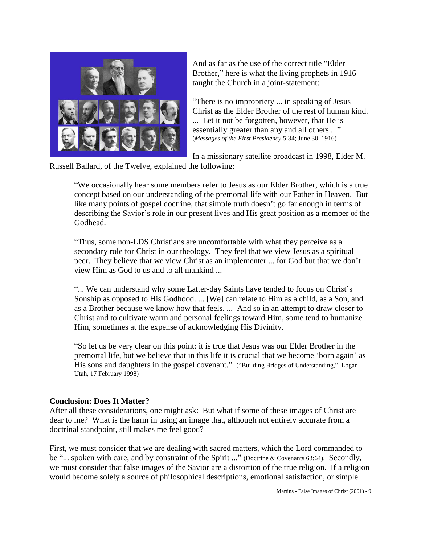

And as far as the use of the correct title "Elder Brother," here is what the living prophets in 1916 taught the Church in a joint-statement:

"There is no impropriety ... in speaking of Jesus Christ as the Elder Brother of the rest of human kind. ... Let it not be forgotten, however, that He is essentially greater than any and all others ..." (*Messages of the First Presidency* 5:34; June 30, 1916)

In a missionary satellite broadcast in 1998, Elder M.

Russell Ballard, of the Twelve, explained the following:

"We occasionally hear some members refer to Jesus as our Elder Brother, which is a true concept based on our understanding of the premortal life with our Father in Heaven. But like many points of gospel doctrine, that simple truth doesn't go far enough in terms of describing the Savior's role in our present lives and His great position as a member of the Godhead.

"Thus, some non-LDS Christians are uncomfortable with what they perceive as a secondary role for Christ in our theology. They feel that we view Jesus as a spiritual peer. They believe that we view Christ as an implementer ... for God but that we don't view Him as God to us and to all mankind ...

"... We can understand why some Latter-day Saints have tended to focus on Christ's Sonship as opposed to His Godhood. ... [We] can relate to Him as a child, as a Son, and as a Brother because we know how that feels. ... And so in an attempt to draw closer to Christ and to cultivate warm and personal feelings toward Him, some tend to humanize Him, sometimes at the expense of acknowledging His Divinity.

"So let us be very clear on this point: it is true that Jesus was our Elder Brother in the premortal life, but we believe that in this life it is crucial that we become 'born again' as His sons and daughters in the gospel covenant." ("Building Bridges of Understanding," Logan, Utah, 17 February 1998)

## **Conclusion: Does It Matter?**

After all these considerations, one might ask: But what if some of these images of Christ are dear to me? What is the harm in using an image that, although not entirely accurate from a doctrinal standpoint, still makes me feel good?

First, we must consider that we are dealing with sacred matters, which the Lord commanded to be "... spoken with care, and by constraint of the Spirit ..." (Doctrine & Covenants 63:64). Secondly, we must consider that false images of the Savior are a distortion of the true religion. If a religion would become solely a source of philosophical descriptions, emotional satisfaction, or simple